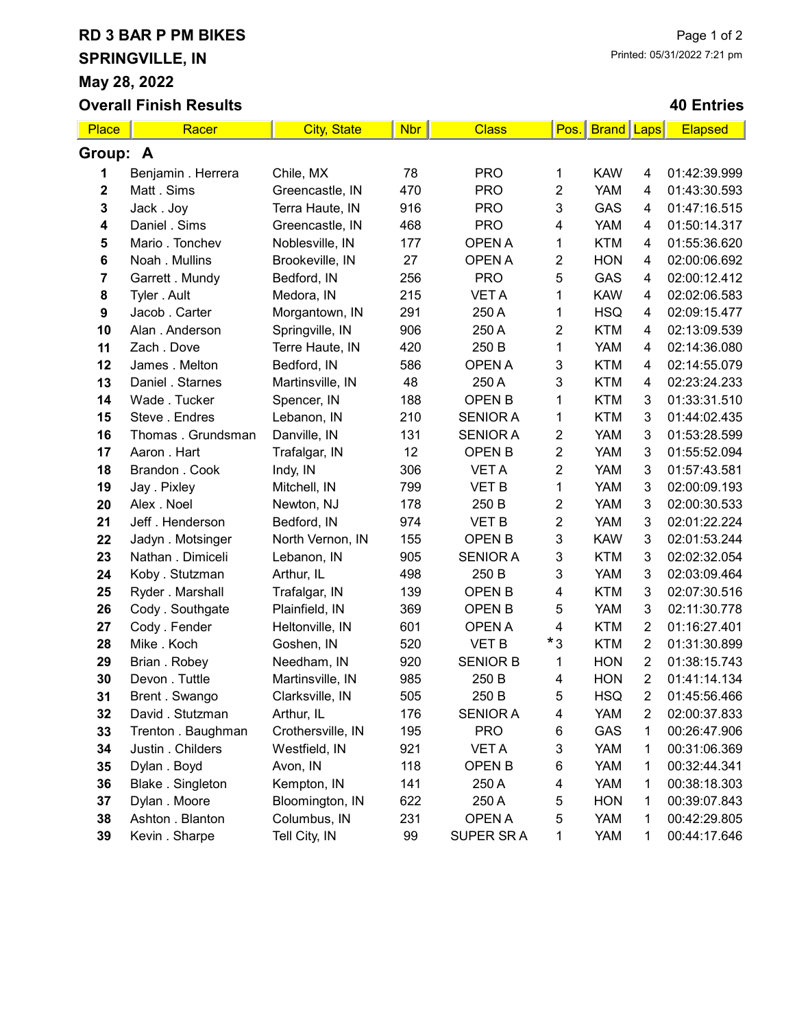## RD 3 BAR P PM BIKES

Overall Finish Results

SPRINGVILLE, IN May 28, 2022

## 40 Entries

| <b>Place</b>     | Racer              | <b>City, State</b> | <b>Nbr</b> | <b>Class</b>    | Pos.           | <b>Brand Laps</b> |                | <b>Elapsed</b> |  |  |
|------------------|--------------------|--------------------|------------|-----------------|----------------|-------------------|----------------|----------------|--|--|
| Group: A         |                    |                    |            |                 |                |                   |                |                |  |  |
| 1                | Benjamin . Herrera | Chile, MX          | 78         | <b>PRO</b>      | 1              | <b>KAW</b>        | 4              | 01:42:39.999   |  |  |
| $\boldsymbol{2}$ | Matt. Sims         | Greencastle, IN    | 470        | <b>PRO</b>      | 2              | <b>YAM</b>        | 4              | 01:43:30.593   |  |  |
| 3                | Jack. Joy          | Terra Haute, IN    | 916        | <b>PRO</b>      | 3              | GAS               | 4              | 01:47:16.515   |  |  |
| 4                | Daniel . Sims      | Greencastle, IN    | 468        | <b>PRO</b>      | 4              | <b>YAM</b>        | 4              | 01:50:14.317   |  |  |
| 5                | Mario. Tonchev     | Noblesville, IN    | 177        | <b>OPEN A</b>   | 1              | <b>KTM</b>        | 4              | 01:55:36.620   |  |  |
| $\bf 6$          | Noah . Mullins     | Brookeville, IN    | 27         | <b>OPEN A</b>   | 2              | <b>HON</b>        | 4              | 02:00:06.692   |  |  |
| 7                | Garrett . Mundy    | Bedford, IN        | 256        | <b>PRO</b>      | 5              | GAS               | 4              | 02:00:12.412   |  |  |
| 8                | Tyler . Ault       | Medora, IN         | 215        | <b>VET A</b>    | 1              | <b>KAW</b>        | 4              | 02:02:06.583   |  |  |
| 9                | Jacob. Carter      | Morgantown, IN     | 291        | 250 A           | 1              | <b>HSQ</b>        | 4              | 02:09:15.477   |  |  |
| 10               | Alan . Anderson    | Springville, IN    | 906        | 250 A           | 2              | <b>KTM</b>        | 4              | 02:13:09.539   |  |  |
| 11               | Zach. Dove         | Terre Haute, IN    | 420        | 250 B           | 1              | <b>YAM</b>        | 4              | 02:14:36.080   |  |  |
| 12               | James . Melton     | Bedford, IN        | 586        | <b>OPEN A</b>   | 3              | <b>KTM</b>        | 4              | 02:14:55.079   |  |  |
| 13               | Daniel . Starnes   | Martinsville, IN   | 48         | 250 A           | 3              | <b>KTM</b>        | 4              | 02:23:24.233   |  |  |
| 14               | Wade . Tucker      | Spencer, IN        | 188        | <b>OPEN B</b>   | 1              | <b>KTM</b>        | 3              | 01:33:31.510   |  |  |
| 15               | Steve . Endres     | Lebanon, IN        | 210        | <b>SENIOR A</b> | 1              | <b>KTM</b>        | 3              | 01:44:02.435   |  |  |
| 16               | Thomas . Grundsman | Danville, IN       | 131        | <b>SENIOR A</b> | $\overline{2}$ | <b>YAM</b>        | 3              | 01:53:28.599   |  |  |
| 17               | Aaron . Hart       | Trafalgar, IN      | 12         | <b>OPEN B</b>   | $\overline{2}$ | <b>YAM</b>        | 3              | 01:55:52.094   |  |  |
| 18               | Brandon . Cook     | Indy, IN           | 306        | <b>VETA</b>     | 2              | <b>YAM</b>        | 3              | 01:57:43.581   |  |  |
| 19               | Jay . Pixley       | Mitchell, IN       | 799        | <b>VET B</b>    | 1              | <b>YAM</b>        | 3              | 02:00:09.193   |  |  |
| 20               | Alex . Noel        | Newton, NJ         | 178        | 250 B           | $\overline{2}$ | <b>YAM</b>        | 3              | 02:00:30.533   |  |  |
| 21               | Jeff. Henderson    | Bedford, IN        | 974        | <b>VET B</b>    | 2              | <b>YAM</b>        | 3              | 02:01:22.224   |  |  |
| 22               | Jadyn . Motsinger  | North Vernon, IN   | 155        | <b>OPEN B</b>   | 3              | <b>KAW</b>        | 3              | 02:01:53.244   |  |  |
| 23               | Nathan . Dimiceli  | Lebanon, IN        | 905        | <b>SENIOR A</b> | 3              | <b>KTM</b>        | 3              | 02:02:32.054   |  |  |
| 24               | Koby . Stutzman    | Arthur, IL         | 498        | 250 B           | 3              | <b>YAM</b>        | 3              | 02:03:09.464   |  |  |
| 25               | Ryder . Marshall   | Trafalgar, IN      | 139        | <b>OPEN B</b>   | 4              | <b>KTM</b>        | 3              | 02:07:30.516   |  |  |
| 26               | Cody . Southgate   | Plainfield, IN     | 369        | <b>OPEN B</b>   | 5              | <b>YAM</b>        | 3              | 02:11:30.778   |  |  |
| 27               | Cody . Fender      | Heltonville, IN    | 601        | <b>OPEN A</b>   | 4              | <b>KTM</b>        | $\overline{2}$ | 01:16:27.401   |  |  |
| 28               | Mike . Koch        | Goshen, IN         | 520        | <b>VET B</b>    | $*_{3}$        | <b>KTM</b>        | $\overline{2}$ | 01:31:30.899   |  |  |
| 29               | Brian . Robey      | Needham, IN        | 920        | <b>SENIOR B</b> | 1              | <b>HON</b>        | $\overline{2}$ | 01:38:15.743   |  |  |
| 30               | Devon . Tuttle     | Martinsville, IN   | 985        | 250 B           | $\overline{4}$ | <b>HON</b>        | $\overline{2}$ | 01:41:14.134   |  |  |
| 31               | Brent. Swango      | Clarksville, IN    | 505        | 250 B           | 5              | <b>HSQ</b>        | $\overline{2}$ | 01:45:56.466   |  |  |
| 32               | David . Stutzman   | Arthur, IL         | 176        | <b>SENIOR A</b> | 4              | <b>YAM</b>        | $\overline{2}$ | 02:00:37.833   |  |  |
| 33               | Trenton . Baughman | Crothersville, IN  | 195        | <b>PRO</b>      | 6              | GAS               | 1              | 00:26:47.906   |  |  |
| 34               | Justin . Childers  | Westfield, IN      | 921        | <b>VET A</b>    | 3              | <b>YAM</b>        | 1              | 00:31:06.369   |  |  |
| 35               | Dylan . Boyd       | Avon, IN           | 118        | <b>OPEN B</b>   | 6              | <b>YAM</b>        | 1              | 00:32:44.341   |  |  |
| 36               | Blake . Singleton  | Kempton, IN        | 141        | 250 A           | 4              | <b>YAM</b>        | 1              | 00:38:18.303   |  |  |
| 37               | Dylan . Moore      | Bloomington, IN    | 622        | 250 A           | 5              | <b>HON</b>        | 1              | 00:39:07.843   |  |  |
| 38               | Ashton . Blanton   | Columbus, IN       | 231        | OPEN A          | 5              | <b>YAM</b>        | 1              | 00:42:29.805   |  |  |
| 39               | Kevin . Sharpe     | Tell City, IN      | 99         | SUPER SRA       | 1              | YAM               | 1              | 00:44:17.646   |  |  |